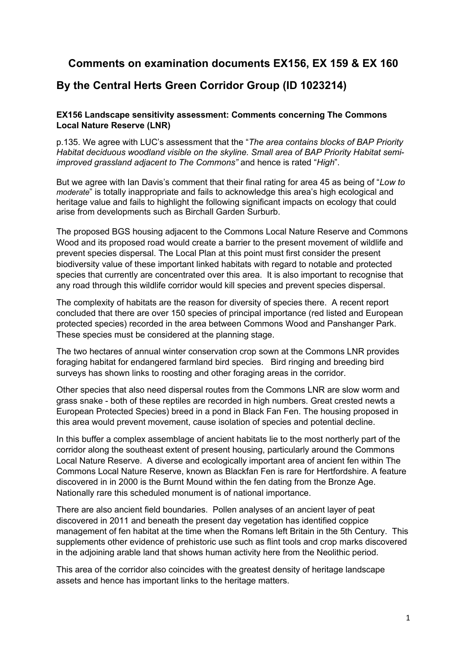## **Comments on examination documents EX156, EX 159 & EX 160**

## **By the Central Herts Green Corridor Group (ID 1023214)**

### **EX156 Landscape sensitivity assessment: Comments concerning The Commons Local Nature Reserve (LNR)**

p.135. We agree with LUC's assessment that the "*The area contains blocks of BAP Priority Habitat deciduous woodland visible on the skyline. Small area of BAP Priority Habitat semiimproved grassland adjacent to The Commons"* and hence is rated "*High*".

But we agree with Ian Davis's comment that their final rating for area 45 as being of "*Low to moderate*" is totally inappropriate and fails to acknowledge this area's high ecological and heritage value and fails to highlight the following significant impacts on ecology that could arise from developments such as Birchall Garden Surburb.

The proposed BGS housing adjacent to the Commons Local Nature Reserve and Commons Wood and its proposed road would create a barrier to the present movement of wildlife and prevent species dispersal. The Local Plan at this point must first consider the present biodiversity value of these important linked habitats with regard to notable and protected species that currently are concentrated over this area. It is also important to recognise that any road through this wildlife corridor would kill species and prevent species dispersal.

The complexity of habitats are the reason for diversity of species there. A recent report concluded that there are over 150 species of principal importance (red listed and European protected species) recorded in the area between Commons Wood and Panshanger Park. These species must be considered at the planning stage.

The two hectares of annual winter conservation crop sown at the Commons LNR provides foraging habitat for endangered farmland bird species. Bird ringing and breeding bird surveys has shown links to roosting and other foraging areas in the corridor.

Other species that also need dispersal routes from the Commons LNR are slow worm and grass snake - both of these reptiles are recorded in high numbers. Great crested newts a European Protected Species) breed in a pond in Black Fan Fen. The housing proposed in this area would prevent movement, cause isolation of species and potential decline.

In this buffer a complex assemblage of ancient habitats lie to the most northerly part of the corridor along the southeast extent of present housing, particularly around the Commons Local Nature Reserve. A diverse and ecologically important area of ancient fen within The Commons Local Nature Reserve, known as Blackfan Fen is rare for Hertfordshire. A feature discovered in in 2000 is the Burnt Mound within the fen dating from the Bronze Age. Nationally rare this scheduled monument is of national importance.

There are also ancient field boundaries. Pollen analyses of an ancient layer of peat discovered in 2011 and beneath the present day vegetation has identified coppice management of fen habitat at the time when the Romans left Britain in the 5th Century. This supplements other evidence of prehistoric use such as flint tools and crop marks discovered in the adjoining arable land that shows human activity here from the Neolithic period.

This area of the corridor also coincides with the greatest density of heritage landscape assets and hence has important links to the heritage matters.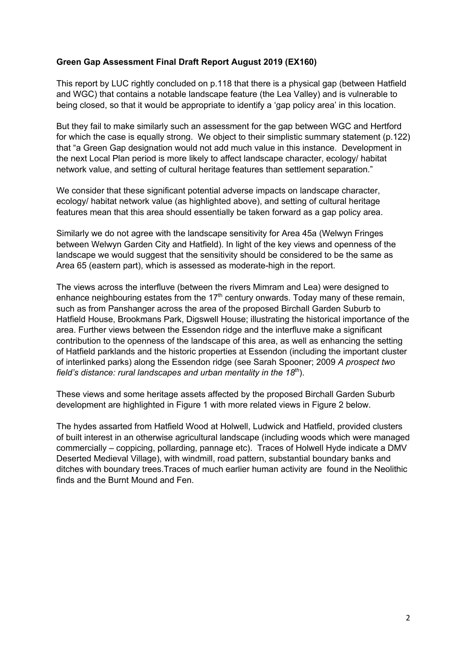## **Green Gap Assessment Final Draft Report August 2019 (EX160)**

This report by LUC rightly concluded on p.118 that there is a physical gap (between Hatfield and WGC) that contains a notable landscape feature (the Lea Valley) and is vulnerable to being closed, so that it would be appropriate to identify a 'gap policy area' in this location.

But they fail to make similarly such an assessment for the gap between WGC and Hertford for which the case is equally strong. We object to their simplistic summary statement (p.122) that "a Green Gap designation would not add much value in this instance. Development in the next Local Plan period is more likely to affect landscape character, ecology/ habitat network value, and setting of cultural heritage features than settlement separation."

We consider that these significant potential adverse impacts on landscape character, ecology/ habitat network value (as highlighted above), and setting of cultural heritage features mean that this area should essentially be taken forward as a gap policy area.

Similarly we do not agree with the landscape sensitivity for Area 45a (Welwyn Fringes between Welwyn Garden City and Hatfield). In light of the key views and openness of the landscape we would suggest that the sensitivity should be considered to be the same as Area 65 (eastern part), which is assessed as moderate-high in the report.

The views across the interfluve (between the rivers Mimram and Lea) were designed to enhance neighbouring estates from the  $17<sup>th</sup>$  century onwards. Today many of these remain, such as from Panshanger across the area of the proposed Birchall Garden Suburb to Hatfield House, Brookmans Park, Digswell House; illustrating the historical importance of the area. Further views between the Essendon ridge and the interfluve make a significant contribution to the openness of the landscape of this area, as well as enhancing the setting of Hatfield parklands and the historic properties at Essendon (including the important cluster of interlinked parks) along the Essendon ridge (see Sarah Spooner; 2009 *A prospect two field's distance: rural landscapes and urban mentality in the 18th*).

These views and some heritage assets affected by the proposed Birchall Garden Suburb development are highlighted in Figure 1 with more related views in Figure 2 below.

The hydes assarted from Hatfield Wood at Holwell, Ludwick and Hatfield, provided clusters of built interest in an otherwise agricultural landscape (including woods which were managed commercially – coppicing, pollarding, pannage etc). Traces of Holwell Hyde indicate a DMV Deserted Medieval Village), with windmill, road pattern, substantial boundary banks and ditches with boundary trees.Traces of much earlier human activity are found in the Neolithic finds and the Burnt Mound and Fen.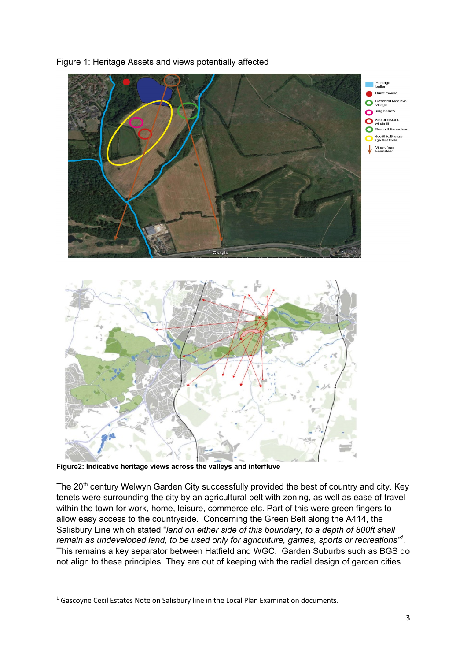

### Figure 1: Heritage Assets and views potentially affected

**Figure2: Indicative heritage views across the valleys and interfluve**

The 20<sup>th</sup> century Welwyn Garden City successfully provided the best of country and city. Key tenets were surrounding the city by an agricultural belt with zoning, as well as ease of travel within the town for work, home, leisure, commerce etc. Part of this were green fingers to allow easy access to the countryside. Concerning the Green Belt along the A414, the Salisbury Line which stated "*land on either side of this boundary, to a depth of 800ft shall remain as undeveloped land, to be used only for agriculture, games, sports or recreations"<sup>1</sup> .*  This remains a key separator between Hatfield and WGC. Garden Suburbs such as BGS do not align to these principles. They are out of keeping with the radial design of garden cities.

<sup>&</sup>lt;sup>1</sup> Gascoyne Cecil Estates Note on Salisbury line in the Local Plan Examination documents.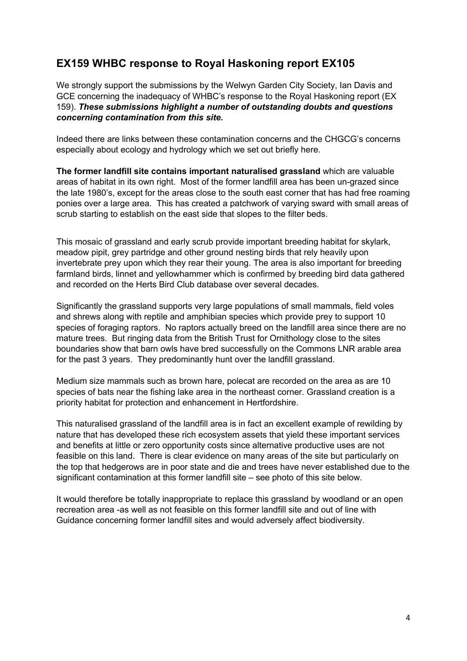# **EX159 WHBC response to Royal Haskoning report EX105**

We strongly support the submissions by the Welwyn Garden City Society, Ian Davis and GCE concerning the inadequacy of WHBC's response to the Royal Haskoning report (EX 159). *These submissions highlight a number of outstanding doubts and questions concerning contamination from this site.* 

Indeed there are links between these contamination concerns and the CHGCG's concerns especially about ecology and hydrology which we set out briefly here.

**The former landfill site contains important naturalised grassland** which are valuable areas of habitat in its own right. Most of the former landfill area has been un-grazed since the late 1980's, except for the areas close to the south east corner that has had free roaming ponies over a large area. This has created a patchwork of varying sward with small areas of scrub starting to establish on the east side that slopes to the filter beds.

This mosaic of grassland and early scrub provide important breeding habitat for skylark, meadow pipit, grey partridge and other ground nesting birds that rely heavily upon invertebrate prey upon which they rear their young. The area is also important for breeding farmland birds, linnet and yellowhammer which is confirmed by breeding bird data gathered and recorded on the Herts Bird Club database over several decades.

Significantly the grassland supports very large populations of small mammals, field voles and shrews along with reptile and amphibian species which provide prey to support 10 species of foraging raptors. No raptors actually breed on the landfill area since there are no mature trees. But ringing data from the British Trust for Ornithology close to the sites boundaries show that barn owls have bred successfully on the Commons LNR arable area for the past 3 years. They predominantly hunt over the landfill grassland.

Medium size mammals such as brown hare, polecat are recorded on the area as are 10 species of bats near the fishing lake area in the northeast corner. Grassland creation is a priority habitat for protection and enhancement in Hertfordshire.

This naturalised grassland of the landfill area is in fact an excellent example of rewilding by nature that has developed these rich ecosystem assets that yield these important services and benefits at little or zero opportunity costs since alternative productive uses are not feasible on this land. There is clear evidence on many areas of the site but particularly on the top that hedgerows are in poor state and die and trees have never established due to the significant contamination at this former landfill site – see photo of this site below.

It would therefore be totally inappropriate to replace this grassland by woodland or an open recreation area -as well as not feasible on this former landfill site and out of line with Guidance concerning former landfill sites and would adversely affect biodiversity.